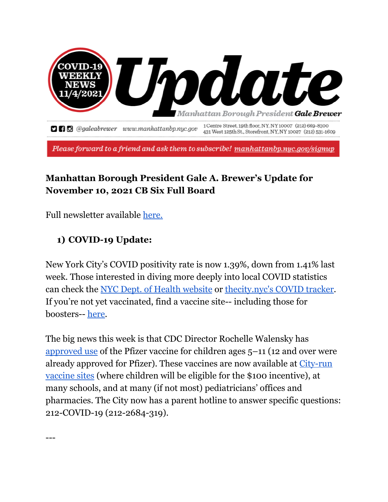

Please forward to a friend and ask them to subscribe! manhattanbp.nyc.gov/signup

# **Manhattan Borough President Gale A. Brewer's Update for November 10, 2021 CB Six Full Board**

Full newsletter available [here.](https://mailchi.mp/manhattanbp/11-4update-1187221?e=f80849c37e)

#### **1) COVID-19 Update:**

---

New York City's COVID positivity rate is now 1.39%, down from 1.41% last week. Those interested in diving more deeply into local COVID statistics can check the NYC Dept. of Health [website](https://www1.nyc.gov/site/doh/covid/covid-19-goals.page) or [thecity.nyc's](https://projects.thecity.nyc/2020_03_covid-19-tracker/) COVID tracker. If you're not yet vaccinated, find a vaccine site-- including those for boosters-- here.

The big news this week is that CDC Director Rochelle Walensky has [approved](https://www.npr.org/sections/health-shots/2021/11/02/1051301705/cdc-advisors-recommend-pfizers-covid-vaccine-for-children-ages-5-through-11) use of the Pfizer vaccine for children ages 5–11 (12 and over were already approved for Pfizer). These vaccines are now available at [City-run](https://vax4nyc.nyc.gov/patient/s/) [vaccine](https://vax4nyc.nyc.gov/patient/s/) sites (where children will be eligible for the \$100 incentive), at many schools, and at many (if not most) pediatricians' offices and pharmacies. The City now has a parent hotline to answer specific questions: 212-COVID-19 (212-2684-319).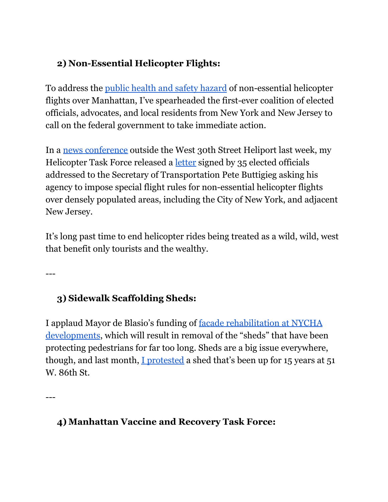## **2) Non-Essential Helicopter Flights:**

To address the public health and safety [hazard](https://www.nytimes.com/2021/10/21/nyregion/nyc-helicopter-noise-complaints.html) of non-essential helicopter flights over Manhattan, I've spearheaded the first-ever coalition of elected officials, advocates, and local residents from New York and New Jersey to call on the federal government to take immediate action.

In a news [conference](https://patch.com/new-york/midtown-nyc/helicopters-over-nyc-are-tormenting-residents-new-group-says) outside the West 30th Street Heliport last week, my Helicopter Task Force released a [letter](http://www.manhattanbp.nyc.gov/wp-content/uploads/2021/11/2021-10-29-NY-and-NJ-Helicopter-Safety-Act-Letter-of-Support-2021_FINAL-5.pdf) signed by 35 elected officials addressed to the Secretary of Transportation Pete Buttigieg asking his agency to impose special flight rules for non-essential helicopter flights over densely populated areas, including the City of New York, and adjacent New Jersey.

It's long past time to end helicopter rides being treated as a wild, wild, west that benefit only tourists and the wealthy.

---

## **3) Sidewalk Scaffolding Sheds:**

I applaud Mayor de Blasio's funding of facade [rehabilitation](https://nypost.com/2021/10/27/de-blasio-puts-up-111m-for-nycha-facade-fixes/) at NYCHA [developments](https://nypost.com/2021/10/27/de-blasio-puts-up-111m-for-nycha-facade-fixes/), which will result in removal of the "sheds" that have been protecting pedestrians for far too long. Sheds are a big issue everywhere, though, and last month, I [protested](https://patch.com/new-york/upper-west-side-nyc/mock-anniversary-party-scaffolding-uws-chants-clowns) a shed that's been up for 15 years at 51 W. 86th St.

---

#### **4) Manhattan Vaccine and Recovery Task Force:**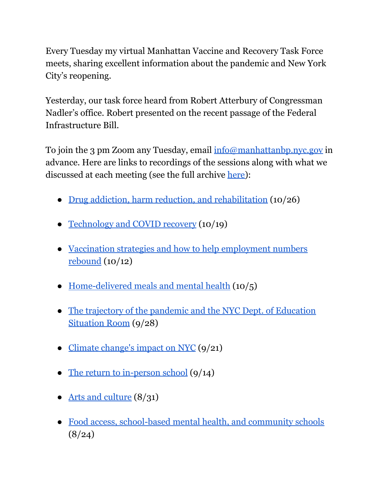Every Tuesday my virtual Manhattan Vaccine and Recovery Task Force meets, sharing excellent information about the pandemic and New York City's reopening.

Yesterday, our task force heard from Robert Atterbury of Congressman Nadler's office. Robert presented on the recent passage of the Federal Infrastructure Bill.

To join the 3 pm Zoom any Tuesday, email [info@manhattanbp.nyc.gov](mailto:info@manhattanbp.nyc.gov) in advance. Here are links to recordings of the sessions along with what we discussed at each meeting (see the full archive [here\)](https://www.manhattanbp.nyc.gov/manhattan-vaccine-and-recovery-task-force-meetings/):

- Drug addiction, harm reduction, and [rehabilitation](https://www.youtube.com/watch?v=LlZllwpTYX0) (10/26)
- [Technology](https://youtu.be/G1r377S3PpU) and COVID recovery (10/19)
- Vaccination strategies and how to help [employment](https://youtu.be/F3WzBJLT4uc) numbers [rebound](https://youtu.be/F3WzBJLT4uc) (10/12)
- [Home-delivered](https://youtu.be/L1BhB4KcxT0) meals and mental health (10/5)
- The trajectory of the pandemic and the NYC Dept. of [Education](https://youtu.be/Vknv9sHYSng) [Situation](https://youtu.be/Vknv9sHYSng) Room (9/28)
- Climate change's impact on NYC (9/21)
- The return to [in-person](https://youtu.be/9qtifS1ST9Y) school (9/14)
- Arts and [culture](https://youtu.be/wTo5F00fMIg) (8/31)
- Food access, [school-based](http://m.youtube.com) mental health, and community schools  $(8/24)$